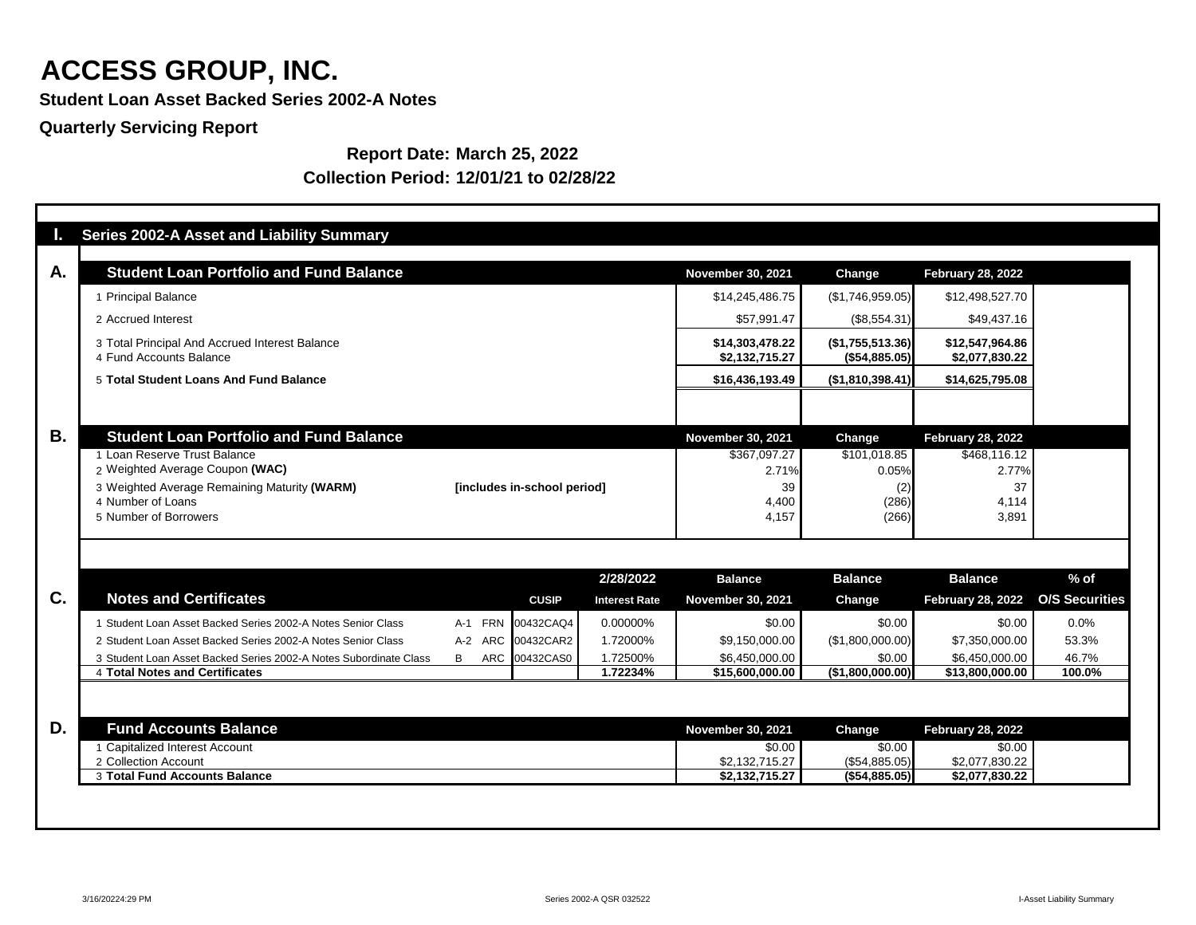**Student Loan Asset Backed Series 2002-A Notes**

**Quarterly Servicing Report**

**Report Date: March 25, 2022 Collection Period: 12/01/21 to 02/28/22**

| <b>AF</b> | <b>Series 2002-A Asset and Liability Summary</b>                          |          |                             |                      |                                   |                                   |                                   |                       |
|-----------|---------------------------------------------------------------------------|----------|-----------------------------|----------------------|-----------------------------------|-----------------------------------|-----------------------------------|-----------------------|
| A.        | <b>Student Loan Portfolio and Fund Balance</b>                            |          |                             |                      | <b>November 30, 2021</b>          | Change                            | <b>February 28, 2022</b>          |                       |
|           | 1 Principal Balance                                                       |          |                             |                      | \$14,245,486.75                   | (\$1,746,959.05)                  | \$12,498,527.70                   |                       |
|           | 2 Accrued Interest                                                        |          |                             |                      | \$57,991.47                       | $(\$8,554.31)$                    | \$49,437.16                       |                       |
|           | 3 Total Principal And Accrued Interest Balance<br>4 Fund Accounts Balance |          |                             |                      | \$14,303,478.22<br>\$2,132,715.27 | (\$1,755,513.36)<br>(\$54,885.05) | \$12,547,964.86<br>\$2,077,830.22 |                       |
|           | 5 Total Student Loans And Fund Balance                                    |          |                             | \$16,436,193.49      | (\$1,810,398.41)                  | \$14,625,795.08                   |                                   |                       |
| <b>B.</b> | <b>Student Loan Portfolio and Fund Balance</b>                            |          |                             |                      | <b>November 30, 2021</b>          | Change                            | <b>February 28, 2022</b>          |                       |
|           | 1 Loan Reserve Trust Balance                                              |          |                             |                      | \$367,097.27                      | \$101,018.85                      | \$468,116.12                      |                       |
|           | 2 Weighted Average Coupon (WAC)                                           |          |                             |                      | 2.71%                             | 0.05%                             | 2.77%                             |                       |
|           | 3 Weighted Average Remaining Maturity (WARM)                              |          | [includes in-school period] |                      | 39                                | (2)                               | 37                                |                       |
|           | 4 Number of Loans                                                         |          |                             |                      | 4,400                             | (286)                             | 4,114                             |                       |
|           | 5 Number of Borrowers                                                     |          |                             |                      | 4,157                             | (266)                             | 3,891                             |                       |
|           |                                                                           |          |                             |                      |                                   |                                   |                                   |                       |
|           |                                                                           |          |                             | 2/28/2022            | <b>Balance</b>                    | <b>Balance</b>                    | <b>Balance</b>                    | $%$ of                |
| C.        | <b>Notes and Certificates</b>                                             |          | <b>CUSIP</b>                | <b>Interest Rate</b> | <b>November 30, 2021</b>          | <b>Change</b>                     | <b>February 28, 2022</b>          | <b>O/S Securities</b> |
|           | Student Loan Asset Backed Series 2002-A Notes Senior Class                | A-1 FRN  | 00432CAQ4                   | 0.00000%             | \$0.00                            | \$0.00                            | \$0.00                            | 0.0%                  |
|           | 2 Student Loan Asset Backed Series 2002-A Notes Senior Class              | A-2 ARC  | 00432CAR2                   | 1.72000%             | \$9,150,000.00                    | (\$1,800,000.00)                  | \$7,350,000.00                    | 53.3%                 |
|           | 3 Student Loan Asset Backed Series 2002-A Notes Subordinate Class         | ARC<br>B | 00432CAS0                   | 1.72500%             | \$6,450,000.00                    | \$0.00                            | \$6,450,000.00                    | 46.7%                 |
|           | <b>4 Total Notes and Certificates</b>                                     |          |                             | 1.72234%             | \$15,600,000.00                   | (\$1,800,000.00)                  | \$13,800,000.00                   | 100.0%                |
|           |                                                                           |          |                             |                      |                                   |                                   |                                   |                       |
| D.        | <b>Fund Accounts Balance</b>                                              |          |                             |                      | <b>November 30, 2021</b>          | Change                            | <b>February 28, 2022</b>          |                       |
|           | 1 Capitalized Interest Account                                            |          |                             |                      | \$0.00                            | \$0.00                            | \$0.00                            |                       |
|           | 2 Collection Account                                                      |          |                             |                      | \$2,132,715.27                    | (\$54,885.05)                     | \$2,077,830.22                    |                       |
|           | 3 Total Fund Accounts Balance                                             |          |                             |                      | \$2,132,715.27                    | (\$54,885.05)                     | \$2,077,830.22                    |                       |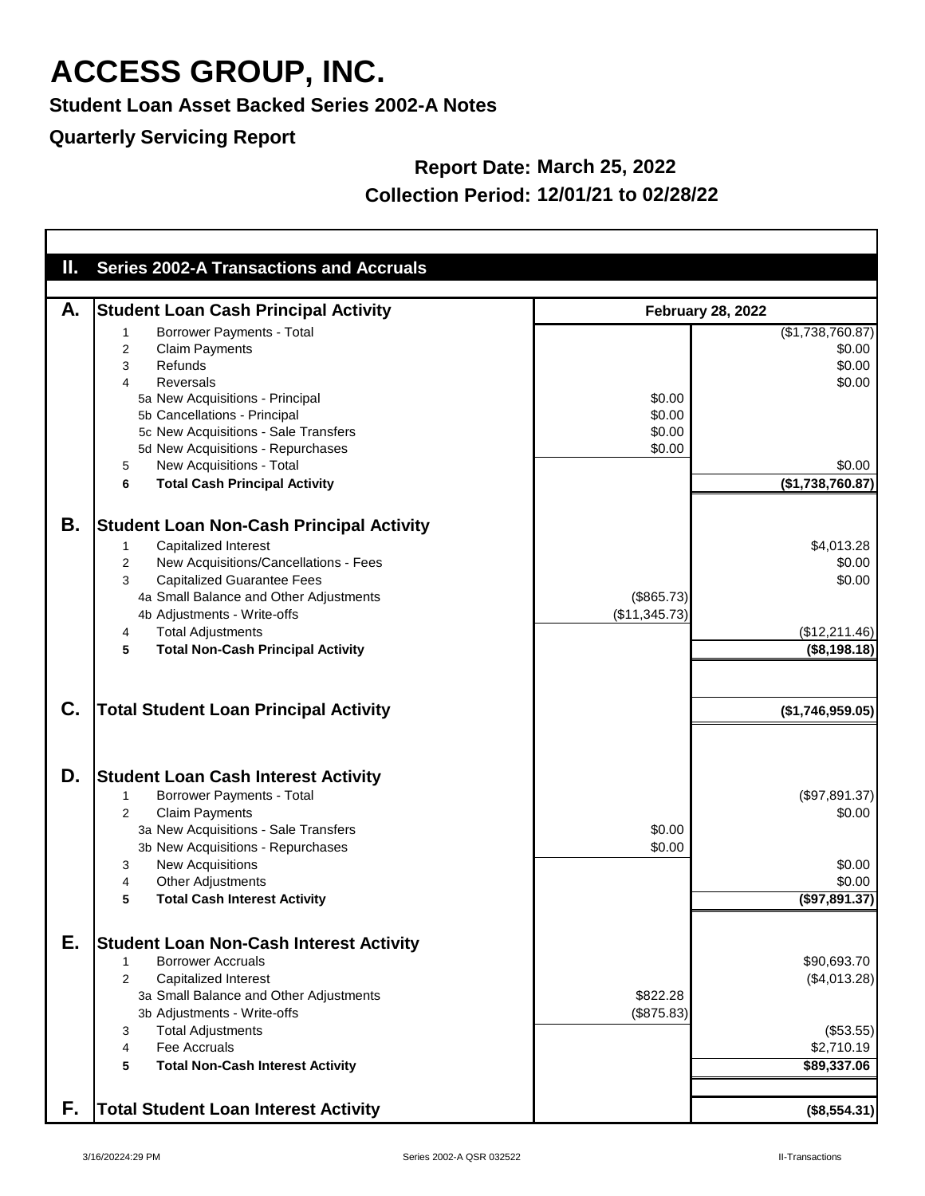**Student Loan Asset Backed Series 2002-A Notes**

### **Quarterly Servicing Report**

### **Report Date: March 25, 2022 Collection Period: 12/01/21 to 02/28/22**

| $\mathbf{I}_{\mathbf{r}}$ | <b>Series 2002-A Transactions and Accruals</b>  |               |                          |
|---------------------------|-------------------------------------------------|---------------|--------------------------|
|                           |                                                 |               |                          |
| А.                        | <b>Student Loan Cash Principal Activity</b>     |               | <b>February 28, 2022</b> |
|                           | <b>Borrower Payments - Total</b>                |               | (\$1,738,760.87)         |
|                           | <b>Claim Payments</b>                           |               | \$0.00                   |
|                           | 2<br>Refunds<br>3                               |               | \$0.00                   |
|                           | Reversals<br>4                                  |               | \$0.00                   |
|                           |                                                 | \$0.00        |                          |
|                           | 5a New Acquisitions - Principal                 | \$0.00        |                          |
|                           | 5b Cancellations - Principal                    |               |                          |
|                           | 5c New Acquisitions - Sale Transfers            | \$0.00        |                          |
|                           | 5d New Acquisitions - Repurchases               | \$0.00        |                          |
|                           | New Acquisitions - Total<br>5                   |               | \$0.00                   |
|                           | <b>Total Cash Principal Activity</b><br>6       |               | (\$1,738,760.87)         |
|                           |                                                 |               |                          |
| Β.                        | <b>Student Loan Non-Cash Principal Activity</b> |               |                          |
|                           | Capitalized Interest<br>1                       |               | \$4,013.28               |
|                           | New Acquisitions/Cancellations - Fees<br>2      |               | \$0.00                   |
|                           | <b>Capitalized Guarantee Fees</b><br>3          |               | \$0.00                   |
|                           | 4a Small Balance and Other Adjustments          | (\$865.73)    |                          |
|                           | 4b Adjustments - Write-offs                     | (\$11,345.73) |                          |
|                           | <b>Total Adjustments</b><br>4                   |               | (\$12,211.46)            |
|                           | <b>Total Non-Cash Principal Activity</b><br>5   |               | (\$8,198.18)             |
|                           |                                                 |               |                          |
|                           |                                                 |               |                          |
|                           |                                                 |               |                          |
| C.                        | <b>Total Student Loan Principal Activity</b>    |               | (\$1,746,959.05)         |
|                           |                                                 |               |                          |
|                           |                                                 |               |                          |
|                           |                                                 |               |                          |
| D.                        | <b>Student Loan Cash Interest Activity</b>      |               |                          |
|                           | <b>Borrower Payments - Total</b><br>1           |               | (\$97,891.37)            |
|                           | <b>Claim Payments</b><br>2                      |               | \$0.00                   |
|                           | 3a New Acquisitions - Sale Transfers            | \$0.00        |                          |
|                           | 3b New Acquisitions - Repurchases               | \$0.00        |                          |
|                           | <b>New Acquisitions</b><br>3                    |               | \$0.00                   |
|                           | <b>Other Adjustments</b><br>4                   |               | \$0.00                   |
|                           | <b>Total Cash Interest Activity</b><br>5        |               | $($ \$97,891.37)         |
|                           |                                                 |               |                          |
|                           |                                                 |               |                          |
| Е.                        | <b>Student Loan Non-Cash Interest Activity</b>  |               |                          |
|                           | <b>Borrower Accruals</b>                        |               | \$90,693.70              |
|                           | <b>Capitalized Interest</b><br>2                |               | (\$4,013.28)             |
|                           | 3a Small Balance and Other Adjustments          | \$822.28      |                          |
|                           | 3b Adjustments - Write-offs                     | (\$875.83)    |                          |
|                           | <b>Total Adjustments</b><br>3                   |               | (\$53.55)                |
|                           | <b>Fee Accruals</b><br>4                        |               | \$2,710.19               |
|                           | 5<br><b>Total Non-Cash Interest Activity</b>    |               | \$89,337.06              |
|                           |                                                 |               |                          |
|                           |                                                 |               |                          |
| F.                        | <b>Total Student Loan Interest Activity</b>     |               | (\$8,554.31)             |

T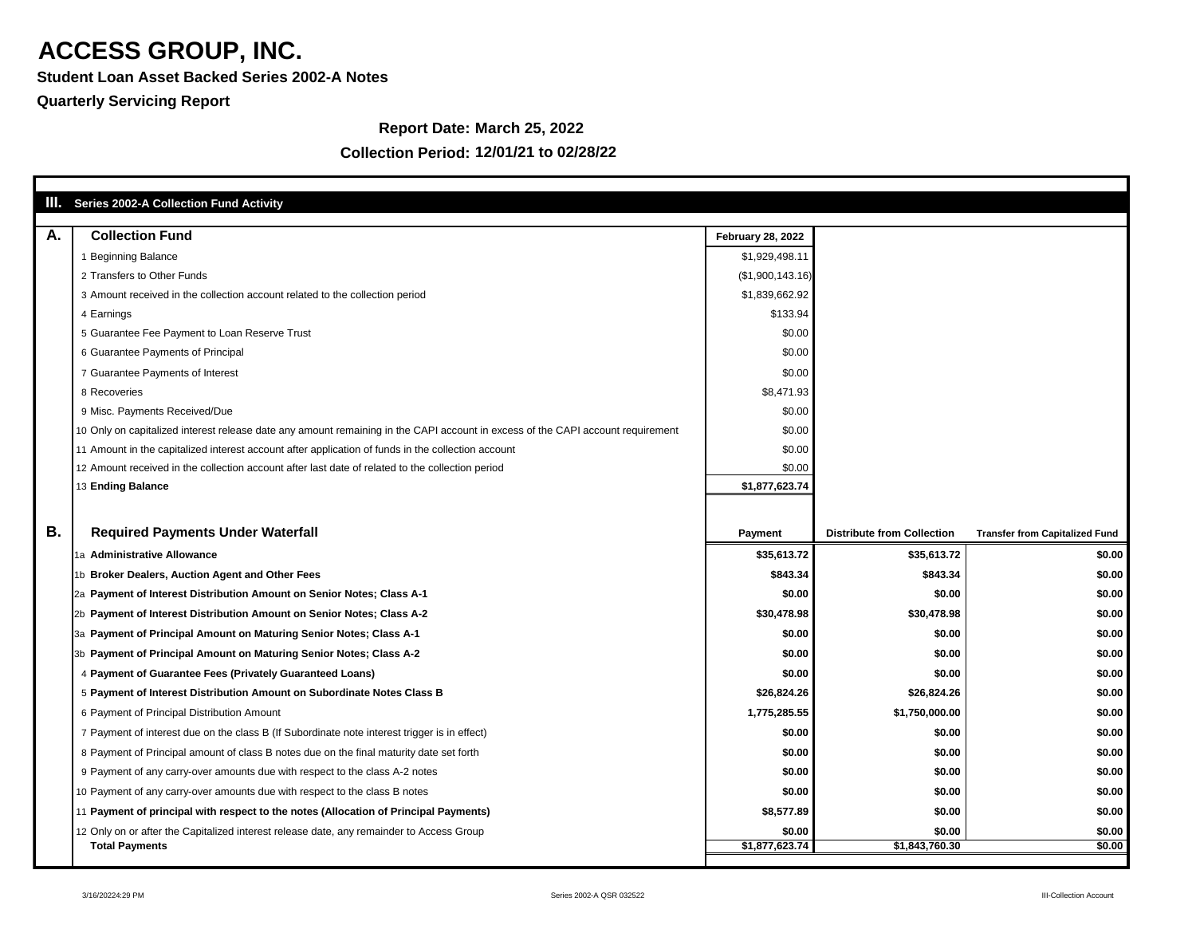**Student Loan Asset Backed Series 2002-A Notes**

### **Quarterly Servicing Report**

#### **Report Date: March 25, 2022**

|           | <b>III.</b> Series 2002-A Collection Fund Activity                                                                              |                          |                                   |                                       |
|-----------|---------------------------------------------------------------------------------------------------------------------------------|--------------------------|-----------------------------------|---------------------------------------|
| A.        | <b>Collection Fund</b>                                                                                                          | <b>February 28, 2022</b> |                                   |                                       |
|           | <b>Beginning Balance</b>                                                                                                        | \$1,929,498.11           |                                   |                                       |
|           | 2 Transfers to Other Funds                                                                                                      | (\$1,900,143.16)         |                                   |                                       |
|           | 3 Amount received in the collection account related to the collection period                                                    | \$1,839,662.92           |                                   |                                       |
|           | 4 Earnings                                                                                                                      | \$133.94                 |                                   |                                       |
|           | 5 Guarantee Fee Payment to Loan Reserve Trust                                                                                   | \$0.00                   |                                   |                                       |
|           | 6 Guarantee Payments of Principal                                                                                               | \$0.00                   |                                   |                                       |
|           | 7 Guarantee Payments of Interest                                                                                                | \$0.00                   |                                   |                                       |
|           | 8 Recoveries                                                                                                                    | \$8,471.93               |                                   |                                       |
|           | 9 Misc. Payments Received/Due                                                                                                   | \$0.00                   |                                   |                                       |
|           | 10 Only on capitalized interest release date any amount remaining in the CAPI account in excess of the CAPI account requirement | \$0.00                   |                                   |                                       |
|           | 11 Amount in the capitalized interest account after application of funds in the collection account                              | \$0.00                   |                                   |                                       |
|           | 12 Amount received in the collection account after last date of related to the collection period                                | \$0.00                   |                                   |                                       |
|           | 13 Ending Balance                                                                                                               | \$1,877,623.74           |                                   |                                       |
|           |                                                                                                                                 |                          |                                   |                                       |
| <b>B.</b> | <b>Required Payments Under Waterfall</b>                                                                                        | <b>Payment</b>           | <b>Distribute from Collection</b> | <b>Transfer from Capitalized Fund</b> |
|           | 1a Administrative Allowance                                                                                                     | \$35,613.72              | \$35,613.72                       | \$0.00                                |
|           | 1b Broker Dealers, Auction Agent and Other Fees                                                                                 | \$843.34                 | \$843.34                          | \$0.00                                |
|           | 2a Payment of Interest Distribution Amount on Senior Notes; Class A-1                                                           |                          |                                   |                                       |
|           |                                                                                                                                 | \$0.00                   | \$0.00                            | \$0.00                                |
|           | 2b Payment of Interest Distribution Amount on Senior Notes; Class A-2                                                           | \$30,478.98              | \$30,478.98                       |                                       |
|           | 3a Payment of Principal Amount on Maturing Senior Notes; Class A-1                                                              | \$0.00                   | \$0.00                            | \$0.00                                |
|           | 3b Payment of Principal Amount on Maturing Senior Notes; Class A-2                                                              | \$0.00                   | \$0.00                            | \$0.00                                |
|           | 4 Payment of Guarantee Fees (Privately Guaranteed Loans)                                                                        | \$0.00                   | \$0.00                            | \$0.00                                |
|           | 5 Payment of Interest Distribution Amount on Subordinate Notes Class B                                                          | \$26,824.26              | \$26,824.26                       | \$0.00                                |
|           | 6 Payment of Principal Distribution Amount                                                                                      | 1,775,285.55             | \$1,750,000.00                    | \$0.00                                |
|           | 7 Payment of interest due on the class B (If Subordinate note interest trigger is in effect)                                    | \$0.00                   | \$0.00                            | \$0.00                                |
|           | 8 Payment of Principal amount of class B notes due on the final maturity date set forth                                         | \$0.00                   | \$0.00                            | \$0.00                                |
|           | 9 Payment of any carry-over amounts due with respect to the class A-2 notes                                                     | \$0.00                   | \$0.00                            | \$0.00                                |
|           | 10 Payment of any carry-over amounts due with respect to the class B notes                                                      | \$0.00                   | \$0.00                            | \$0.00                                |
|           | 11 Payment of principal with respect to the notes (Allocation of Principal Payments)                                            | \$8,577.89               | \$0.00                            | \$0.00                                |
|           | 12 Only on or after the Capitalized interest release date, any remainder to Access Group                                        | \$0.00                   | \$0.00                            | \$0.00<br>\$0.00                      |

#### **Collection Period: 12/01/21 to 02/28/22**

٦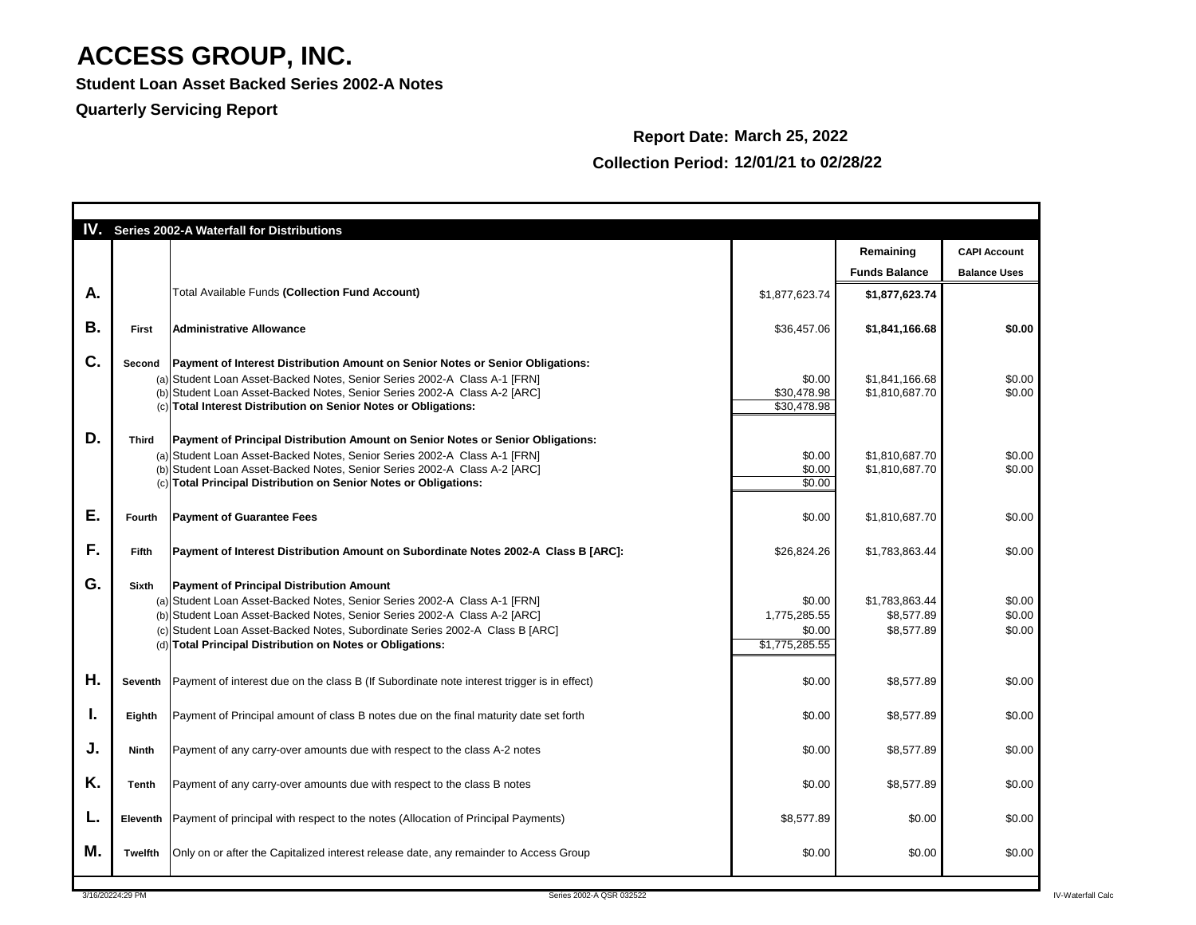**Student Loan Asset Backed Series 2002-A Notes**

**Quarterly Servicing Report**

|    |                | <b>IV.</b> Series 2002-A Waterfall for Distributions                                                                                                                                                                                                                                                                                                   |                                                    |                                            |                                            |
|----|----------------|--------------------------------------------------------------------------------------------------------------------------------------------------------------------------------------------------------------------------------------------------------------------------------------------------------------------------------------------------------|----------------------------------------------------|--------------------------------------------|--------------------------------------------|
|    |                |                                                                                                                                                                                                                                                                                                                                                        |                                                    | Remaining<br><b>Funds Balance</b>          | <b>CAPI Account</b><br><b>Balance Uses</b> |
| A. |                | <b>Total Available Funds (Collection Fund Account)</b>                                                                                                                                                                                                                                                                                                 | \$1,877,623.74                                     | \$1,877,623.74                             |                                            |
| В. | <b>First</b>   | <b>Administrative Allowance</b>                                                                                                                                                                                                                                                                                                                        | \$36,457.06                                        | \$1,841,166.68                             | \$0.00                                     |
| C. | Second         | Payment of Interest Distribution Amount on Senior Notes or Senior Obligations:<br>(a) Student Loan Asset-Backed Notes, Senior Series 2002-A Class A-1 [FRN]<br>(b) Student Loan Asset-Backed Notes, Senior Series 2002-A Class A-2 [ARC]<br>(c) Total Interest Distribution on Senior Notes or Obligations:                                            | \$0.00<br>\$30,478.98<br>\$30,478.98               | \$1,841,166.68<br>\$1,810,687.70           | \$0.00<br>\$0.00                           |
| D. | <b>Third</b>   | <b>Payment of Principal Distribution Amount on Senior Notes or Senior Obligations:</b><br>(a) Student Loan Asset-Backed Notes, Senior Series 2002-A Class A-1 [FRN]<br>(b) Student Loan Asset-Backed Notes, Senior Series 2002-A Class A-2 [ARC]<br>(c) Total Principal Distribution on Senior Notes or Obligations:                                   | \$0.00<br>\$0.00<br>\$0.00                         | \$1,810,687.70<br>\$1,810,687.70           | \$0.00<br>\$0.00                           |
| Е. | Fourth         | <b>Payment of Guarantee Fees</b>                                                                                                                                                                                                                                                                                                                       | \$0.00                                             | \$1,810,687.70                             | \$0.00                                     |
| F. | <b>Fifth</b>   | <b>Payment of Interest Distribution Amount on Subordinate Notes 2002-A Class B [ARC]:</b>                                                                                                                                                                                                                                                              | \$26,824.26                                        | \$1,783,863.44                             | \$0.00                                     |
| G. | <b>Sixth</b>   | <b>Payment of Principal Distribution Amount</b><br>(a) Student Loan Asset-Backed Notes, Senior Series 2002-A Class A-1 [FRN]<br>(b) Student Loan Asset-Backed Notes, Senior Series 2002-A Class A-2 [ARC]<br>(c) Student Loan Asset-Backed Notes, Subordinate Series 2002-A Class B [ARC]<br>(d) Total Principal Distribution on Notes or Obligations: | \$0.00<br>1,775,285.55<br>\$0.00<br>\$1,775,285.55 | \$1,783,863.44<br>\$8,577.89<br>\$8,577.89 | \$0.00<br>\$0.00<br>\$0.00                 |
| Η. | Seventh        | Payment of interest due on the class B (If Subordinate note interest trigger is in effect)                                                                                                                                                                                                                                                             | \$0.00                                             | \$8,577.89                                 | \$0.00                                     |
| ι. | Eighth         | Payment of Principal amount of class B notes due on the final maturity date set forth                                                                                                                                                                                                                                                                  | \$0.00                                             | \$8,577.89                                 | \$0.00                                     |
| J. | <b>Ninth</b>   | Payment of any carry-over amounts due with respect to the class A-2 notes                                                                                                                                                                                                                                                                              | \$0.00                                             | \$8,577.89                                 | \$0.00                                     |
| Κ. | <b>Tenth</b>   | Payment of any carry-over amounts due with respect to the class B notes                                                                                                                                                                                                                                                                                | \$0.00                                             | \$8,577.89                                 | \$0.00                                     |
| L. |                | Eleventh Payment of principal with respect to the notes (Allocation of Principal Payments)                                                                                                                                                                                                                                                             | \$8,577.89                                         | \$0.00                                     | \$0.00                                     |
| M. | <b>Twelfth</b> | Only on or after the Capitalized interest release date, any remainder to Access Group                                                                                                                                                                                                                                                                  | \$0.00                                             | \$0.00                                     | \$0.00                                     |

### **Report Date: March 25, 2022 Collection Period: 12/01/21 to 02/28/22**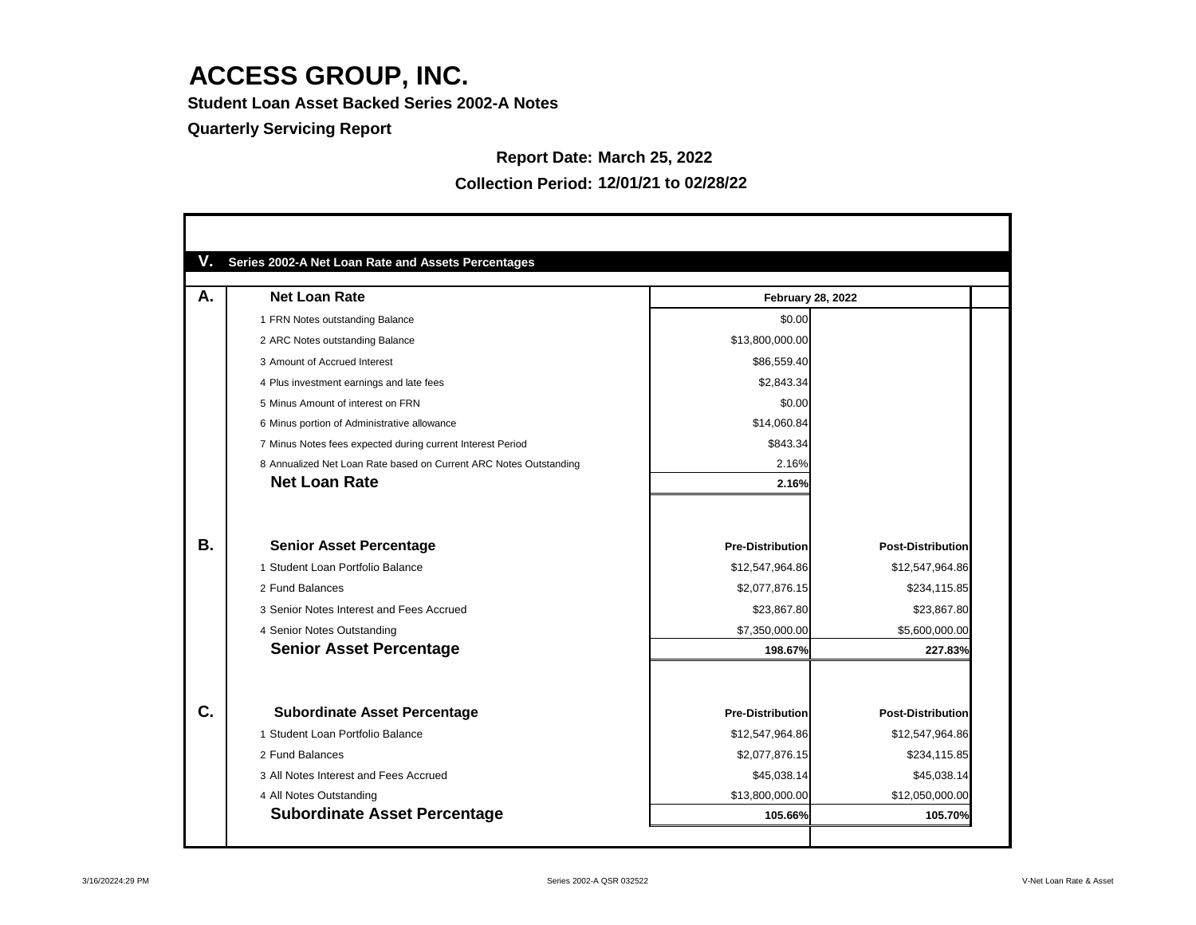**Student Loan Asset Backed Series 2002-A Notes**

#### **Quarterly Servicing Report**

#### **Report Date: March 25, 2022**

| А.        | <b>Net Loan Rate</b>                                              | <b>February 28, 2022</b> |                          |
|-----------|-------------------------------------------------------------------|--------------------------|--------------------------|
|           | 1 FRN Notes outstanding Balance                                   | \$0.00                   |                          |
|           | 2 ARC Notes outstanding Balance                                   | \$13,800,000.00          |                          |
|           | 3 Amount of Accrued Interest                                      | \$86,559.40              |                          |
|           | 4 Plus investment earnings and late fees                          | \$2,843.34               |                          |
|           | 5 Minus Amount of interest on FRN                                 | \$0.00                   |                          |
|           | 6 Minus portion of Administrative allowance                       | \$14,060.84              |                          |
|           | 7 Minus Notes fees expected during current Interest Period        | \$843.34                 |                          |
|           | 8 Annualized Net Loan Rate based on Current ARC Notes Outstanding | 2.16%                    |                          |
|           | <b>Net Loan Rate</b>                                              | 2.16%                    |                          |
| <b>B.</b> | <b>Senior Asset Percentage</b>                                    | <b>Pre-Distribution</b>  | <b>Post-Distribution</b> |
|           | 1 Student Loan Portfolio Balance                                  | \$12,547,964.86          | \$12,547,964.86          |
|           | 2 Fund Balances                                                   | \$2,077,876.15           | \$234,115.85             |
|           | 3 Senior Notes Interest and Fees Accrued                          | \$23,867.80              | \$23,867.80              |
|           | 4 Senior Notes Outstanding                                        | \$7,350,000.00           | \$5,600,000.00           |
|           | <b>Senior Asset Percentage</b>                                    | 198.67%                  | 227.83%                  |
|           |                                                                   |                          |                          |
| C.        | <b>Subordinate Asset Percentage</b>                               | <b>Pre-Distribution</b>  | <b>Post-Distribution</b> |
|           | 1 Student Loan Portfolio Balance                                  | \$12,547,964.86          | \$12,547,964.86          |
|           | 2 Fund Balances                                                   | \$2,077,876.15           | \$234,115.85             |
|           | 3 All Notes Interest and Fees Accrued                             | \$45,038.14              | \$45,038.14              |
|           | 4 All Notes Outstanding                                           | \$13,800,000.00          | \$12,050,000.00          |
|           | <b>Subordinate Asset Percentage</b>                               | 105.66%                  | 105.70%                  |

#### **Collection Period: 12/01/21 to 02/28/22**

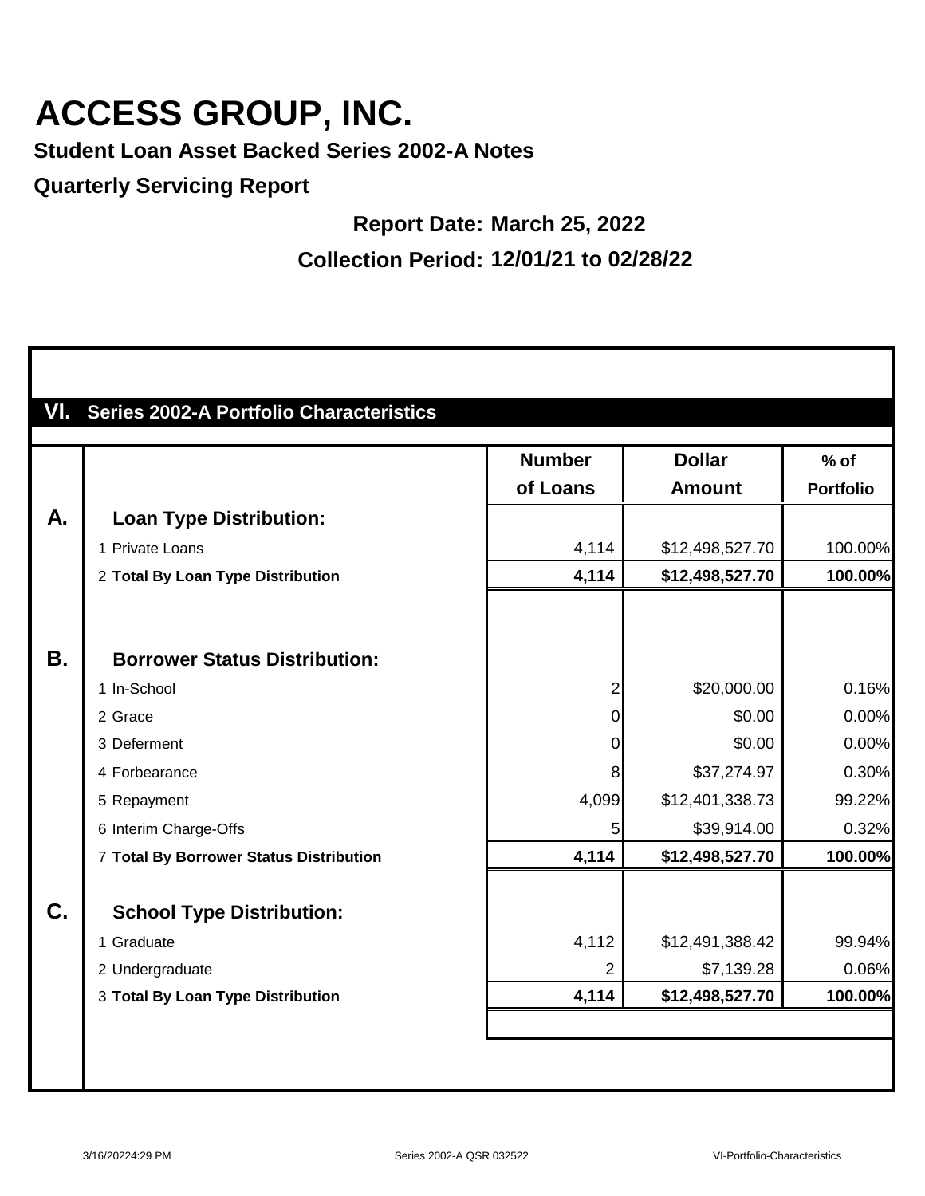**Student Loan Asset Backed Series 2002-A Notes**

**Quarterly Servicing Report**

### **Report Date: March 25, 2022 Collection Period: 12/01/21 to 02/28/22**

|           |                                         | <b>Number</b>  | <b>Dollar</b>   | $%$ of           |
|-----------|-----------------------------------------|----------------|-----------------|------------------|
|           |                                         | of Loans       | <b>Amount</b>   | <b>Portfolio</b> |
| A.        | <b>Loan Type Distribution:</b>          |                |                 |                  |
|           | 1 Private Loans                         | 4,114          | \$12,498,527.70 | 100.00%          |
|           | 2 Total By Loan Type Distribution       | 4,114          | \$12,498,527.70 | 100.00%          |
| <b>B.</b> | <b>Borrower Status Distribution:</b>    |                |                 |                  |
|           | 1 In-School                             | $\overline{2}$ | \$20,000.00     | 0.16%            |
|           | 2 Grace                                 | $\overline{0}$ | \$0.00          | 0.00%            |
|           | 3 Deferment                             | 0              | \$0.00          | 0.00%            |
|           | 4 Forbearance                           | 8              | \$37,274.97     | 0.30%            |
|           | 5 Repayment                             | 4,099          | \$12,401,338.73 | 99.22%           |
|           | 6 Interim Charge-Offs                   | 5              | \$39,914.00     | 0.32%            |
|           | 7 Total By Borrower Status Distribution | 4,114          | \$12,498,527.70 | 100.00%          |
| C.        | <b>School Type Distribution:</b>        |                |                 |                  |
|           | 1 Graduate                              | 4,112          | \$12,491,388.42 | 99.94%           |
|           | 2 Undergraduate                         | $\overline{2}$ | \$7,139.28      | 0.06%            |
|           | 3 Total By Loan Type Distribution       | 4,114          | \$12,498,527.70 | 100.00%          |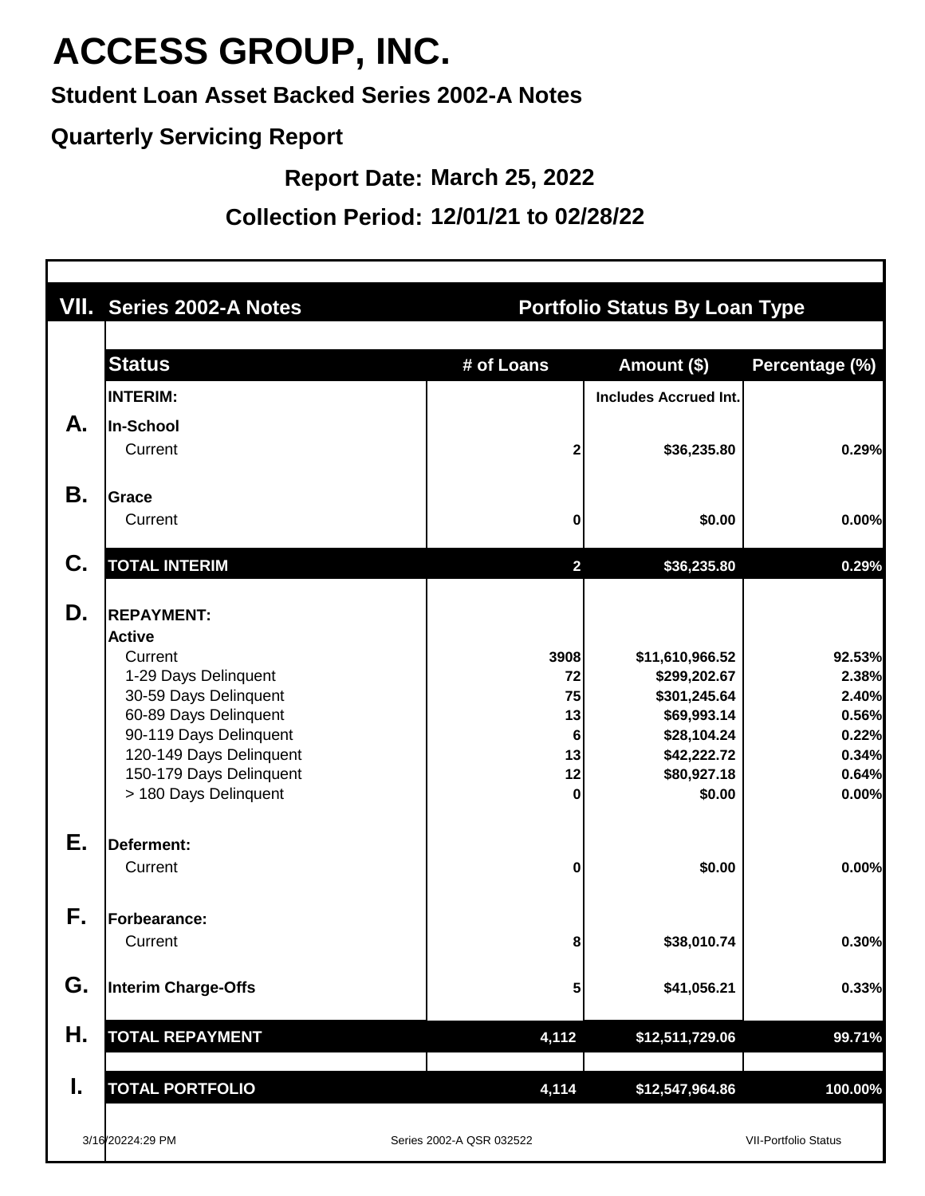**Student Loan Asset Backed Series 2002-A Notes**

#### **Quarterly Servicing Report**

**Report Date: March 25, 2022**

**Collection Period: 12/01/21 to 02/28/22**

|    | <b>VII. Series 2002-A Notes</b>                  |                          | <b>Portfolio Status By Loan Type</b> |                             |  |  |  |  |
|----|--------------------------------------------------|--------------------------|--------------------------------------|-----------------------------|--|--|--|--|
|    |                                                  |                          |                                      |                             |  |  |  |  |
|    | <b>Status</b>                                    | # of Loans               | Amount (\$)                          | Percentage (%)              |  |  |  |  |
|    | <b>INTERIM:</b>                                  |                          | <b>Includes Accrued Int.</b>         |                             |  |  |  |  |
| А. | <b>In-School</b>                                 |                          |                                      |                             |  |  |  |  |
|    | Current                                          | 2                        | \$36,235.80                          | 0.29%                       |  |  |  |  |
| Β. | Grace                                            |                          |                                      |                             |  |  |  |  |
|    | Current                                          | 0                        | \$0.00                               | 0.00%                       |  |  |  |  |
| C. | <b>TOTAL INTERIM</b>                             | $\overline{2}$           | \$36,235.80                          | 0.29%                       |  |  |  |  |
| D. | <b>REPAYMENT:</b>                                |                          |                                      |                             |  |  |  |  |
|    | <b>Active</b>                                    |                          |                                      |                             |  |  |  |  |
|    | Current                                          | 3908                     | \$11,610,966.52                      | 92.53%                      |  |  |  |  |
|    | 1-29 Days Delinquent                             | 72                       | \$299,202.67                         | 2.38%                       |  |  |  |  |
|    | 30-59 Days Delinquent                            | 75                       | \$301,245.64                         | 2.40%                       |  |  |  |  |
|    | 60-89 Days Delinquent                            | 13                       | \$69,993.14                          | 0.56%                       |  |  |  |  |
|    | 90-119 Days Delinquent                           | 6                        | \$28,104.24                          | 0.22%                       |  |  |  |  |
|    | 120-149 Days Delinquent                          | 13                       | \$42,222.72                          | 0.34%                       |  |  |  |  |
|    | 150-179 Days Delinquent<br>> 180 Days Delinquent | 12<br>$\bf{0}$           | \$80,927.18<br>\$0.00                | 0.64%<br>0.00%              |  |  |  |  |
| Е. | Deferment:                                       |                          |                                      |                             |  |  |  |  |
|    | Current                                          | 0                        | \$0.00                               | 0.00%                       |  |  |  |  |
|    |                                                  |                          |                                      |                             |  |  |  |  |
| F. | Forbearance:                                     |                          |                                      |                             |  |  |  |  |
|    | Current                                          | 8                        | \$38,010.74                          | 0.30%                       |  |  |  |  |
| G. | <b>Interim Charge-Offs</b>                       | 5                        | \$41,056.21                          | 0.33%                       |  |  |  |  |
| Η. | <b>TOTAL REPAYMENT</b>                           | 4,112                    | \$12,511,729.06                      | 99.71%                      |  |  |  |  |
| I. | <b>TOTAL PORTFOLIO</b>                           | 4,114                    | \$12,547,964.86                      | 100.00%                     |  |  |  |  |
|    |                                                  |                          |                                      |                             |  |  |  |  |
|    | 3/16/20224:29 PM                                 | Series 2002-A QSR 032522 |                                      | <b>VII-Portfolio Status</b> |  |  |  |  |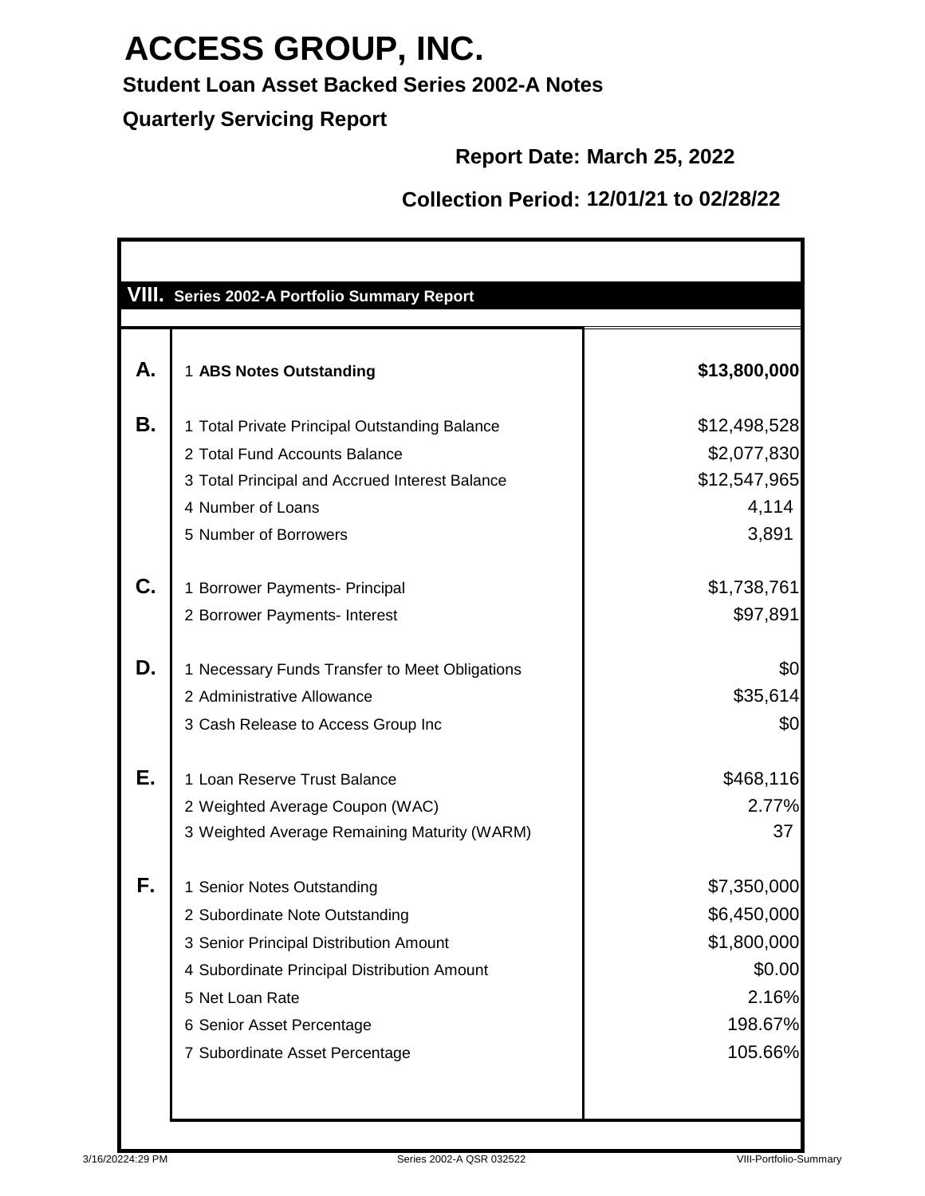### **Student Loan Asset Backed Series 2002-A Notes**

**Quarterly Servicing Report**

#### **Report Date: March 25, 2022**

#### **Collection Period: 12/01/21 to 02/28/22**

|           | <b>VIII. Series 2002-A Portfolio Summary Report</b>                                                                                                                                                                                     |                                                                                    |
|-----------|-----------------------------------------------------------------------------------------------------------------------------------------------------------------------------------------------------------------------------------------|------------------------------------------------------------------------------------|
| А.        | 1 ABS Notes Outstanding                                                                                                                                                                                                                 | \$13,800,000                                                                       |
| <b>B.</b> | 1 Total Private Principal Outstanding Balance<br>2 Total Fund Accounts Balance<br>3 Total Principal and Accrued Interest Balance<br>4 Number of Loans<br>5 Number of Borrowers                                                          | \$12,498,528<br>\$2,077,830<br>\$12,547,965<br>4,114<br>3,891                      |
| C.        | 1 Borrower Payments- Principal<br>2 Borrower Payments- Interest                                                                                                                                                                         | \$1,738,761<br>\$97,891                                                            |
| D.        | 1 Necessary Funds Transfer to Meet Obligations<br>2 Administrative Allowance<br>3 Cash Release to Access Group Inc                                                                                                                      | \$0<br>\$35,614<br>\$0                                                             |
| Е.        | 1 Loan Reserve Trust Balance<br>2 Weighted Average Coupon (WAC)<br>3 Weighted Average Remaining Maturity (WARM)                                                                                                                         | \$468,116<br>2.77%<br>37                                                           |
| F.        | 1 Senior Notes Outstanding<br>2 Subordinate Note Outstanding<br>3 Senior Principal Distribution Amount<br>4 Subordinate Principal Distribution Amount<br>5 Net Loan Rate<br>6 Senior Asset Percentage<br>7 Subordinate Asset Percentage | \$7,350,000<br>\$6,450,000<br>\$1,800,000<br>\$0.00<br>2.16%<br>198.67%<br>105.66% |